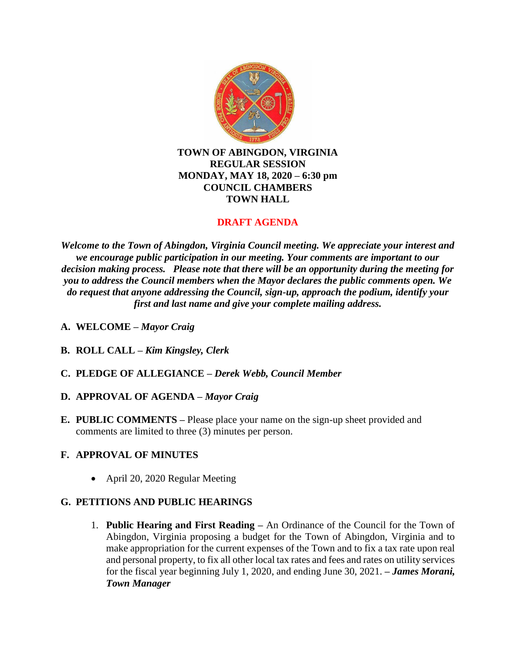

**TOWN OF ABINGDON, VIRGINIA REGULAR SESSION MONDAY, MAY 18, 2020 – 6:30 pm COUNCIL CHAMBERS TOWN HALL**

# **DRAFT AGENDA**

*Welcome to the Town of Abingdon, Virginia Council meeting. We appreciate your interest and we encourage public participation in our meeting. Your comments are important to our decision making process. Please note that there will be an opportunity during the meeting for you to address the Council members when the Mayor declares the public comments open. We do request that anyone addressing the Council, sign-up, approach the podium, identify your first and last name and give your complete mailing address.*

- **A. WELCOME –** *Mayor Craig*
- **B. ROLL CALL –** *Kim Kingsley, Clerk*
- **C. PLEDGE OF ALLEGIANCE –** *Derek Webb, Council Member*
- **D. APPROVAL OF AGENDA –** *Mayor Craig*
- **E. PUBLIC COMMENTS –** Please place your name on the sign-up sheet provided and comments are limited to three (3) minutes per person.

## **F. APPROVAL OF MINUTES**

• April 20, 2020 Regular Meeting

## **G. PETITIONS AND PUBLIC HEARINGS**

1. **Public Hearing and First Reading –** An Ordinance of the Council for the Town of Abingdon, Virginia proposing a budget for the Town of Abingdon, Virginia and to make appropriation for the current expenses of the Town and to fix a tax rate upon real and personal property, to fix all other local tax rates and fees and rates on utility services for the fiscal year beginning July 1, 2020, and ending June 30, 2021. **–** *James Morani, Town Manager*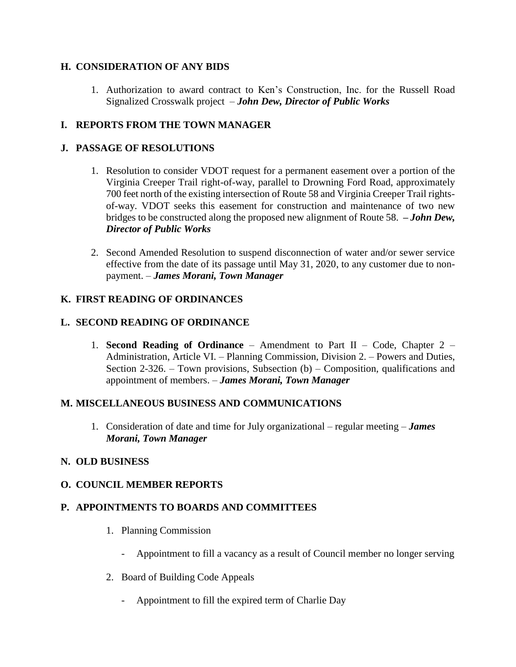### **H. CONSIDERATION OF ANY BIDS**

1. Authorization to award contract to Ken's Construction, Inc. for the Russell Road Signalized Crosswalk project – *John Dew, Director of Public Works*

## **I. REPORTS FROM THE TOWN MANAGER**

### **J. PASSAGE OF RESOLUTIONS**

- 1. Resolution to consider VDOT request for a permanent easement over a portion of the Virginia Creeper Trail right-of-way, parallel to Drowning Ford Road, approximately 700 feet north of the existing intersection of Route 58 and Virginia Creeper Trail rightsof-way. VDOT seeks this easement for construction and maintenance of two new bridges to be constructed along the proposed new alignment of Route 58. **–** *John Dew, Director of Public Works*
- 2. Second Amended Resolution to suspend disconnection of water and/or sewer service effective from the date of its passage until May 31, 2020, to any customer due to nonpayment. – *James Morani, Town Manager*

### **K. FIRST READING OF ORDINANCES**

#### **L. SECOND READING OF ORDINANCE**

1. **Second Reading of Ordinance** – Amendment to Part II – Code, Chapter 2 – Administration, Article VI. – Planning Commission, Division 2. – Powers and Duties, Section 2-326. – Town provisions, Subsection (b) – Composition, qualifications and appointment of members. – *James Morani, Town Manager*

#### **M. MISCELLANEOUS BUSINESS AND COMMUNICATIONS**

1. Consideration of date and time for July organizational – regular meeting – *James Morani, Town Manager*

#### **N. OLD BUSINESS**

#### **O. COUNCIL MEMBER REPORTS**

#### **P. APPOINTMENTS TO BOARDS AND COMMITTEES**

- 1. Planning Commission
	- Appointment to fill a vacancy as a result of Council member no longer serving
- 2. Board of Building Code Appeals
	- Appointment to fill the expired term of Charlie Day